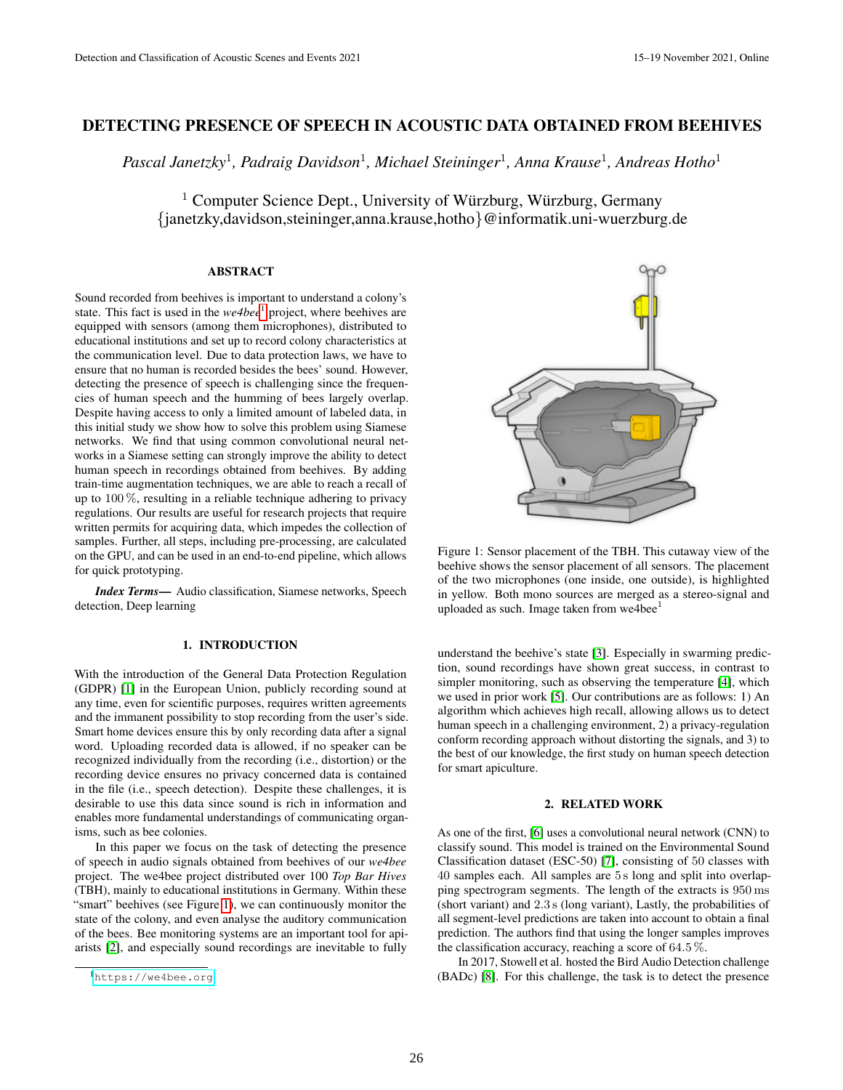# DETECTING PRESENCE OF SPEECH IN ACOUSTIC DATA OBTAINED FROM BEEHIVES

*Pascal Janetzky*<sup>1</sup> *, Padraig Davidson*<sup>1</sup> *, Michael Steininger*<sup>1</sup> *, Anna Krause*<sup>1</sup> *, Andreas Hotho*<sup>1</sup>

<sup>1</sup> Computer Science Dept., University of Würzburg, Würzburg, Germany {janetzky,davidson,steininger,anna.krause,hotho}@informatik.uni-wuerzburg.de

### ABSTRACT

Sound recorded from beehives is important to understand a colony's state. This fact is used in the *we4bee*<sup>1</sup> project, where beehives are equipped with sensors (among them microphones), distributed to educational institutions and set up to record colony characteristics at the communication level. Due to data protection laws, we have to ensure that no human is recorded besides the bees' sound. However, detecting the presence of speech is challenging since the frequencies of human speech and the humming of bees largely overlap. Despite having access to only a limited amount of labeled data, in this initial study we show how to solve this problem using Siamese networks. We find that using common convolutional neural networks in a Siamese setting can strongly improve the ability to detect human speech in recordings obtained from beehives. By adding train-time augmentation techniques, we are able to reach a recall of up to 100 %, resulting in a reliable technique adhering to privacy regulations. Our results are useful for research projects that require written permits for acquiring data, which impedes the collection of samples. Further, all steps, including pre-processing, are calculated on the GPU, and can be used in an end-to-end pipeline, which allows for quick prototyping.

*Index Terms*— Audio classification, Siamese networks, Speech detection, Deep learning

### 1. INTRODUCTION

With the introduction of the General Data Protection Regulation (GDPR) [1] in the European Union, publicly recording sound at any time, even for scientific purposes, requires written agreements and the immanent possibility to stop recording from the user's side. Smart home devices ensure this by only recording data after a signal word. Uploading recorded data is allowed, if no speaker can be recognized individually from the recording (i.e., distortion) or the recording device ensures no privacy concerned data is contained in the file (i.e., speech detection). Despite these challenges, it is desirable to use this data since sound is rich in information and enables more fundamental understandings of communicating organisms, such as bee colonies.

In this paper we focus on the task of detecting the presence of speech in audio signals obtained from beehives of our *we4bee* project. The we4bee project distributed over 100 *Top Bar Hives* (TBH), mainly to educational institutions in Germany. Within these "smart" beehives (see Figure 1), we can continuously monitor the state of the colony, and even analyse the auditory communication of the bees. Bee monitoring systems are an important tool for apiarists [2], and especially sound recordings are inevitable to fully



Figure 1: Sensor placement of the TBH. This cutaway view of the beehive shows the sensor placement of all sensors. The placement of the two microphones (one inside, one outside), is highlighted in yellow. Both mono sources are merged as a stereo-signal and uploaded as such. Image taken from we4bee $<sup>1</sup>$ </sup>

understand the beehive's state [3]. Especially in swarming prediction, sound recordings have shown great success, in contrast to simpler monitoring, such as observing the temperature [4], which we used in prior work [5]. Our contributions are as follows: 1) An algorithm which achieves high recall, allowing allows us to detect human speech in a challenging environment, 2) a privacy-regulation conform recording approach without distorting the signals, and 3) to the best of our knowledge, the first study on human speech detection for smart apiculture.

### 2. RELATED WORK

As one of the first, [6] uses a convolutional neural network (CNN) to classify sound. This model is trained on the Environmental Sound Classification dataset (ESC-50) [7], consisting of 50 classes with 40 samples each. All samples are 5 s long and split into overlapping spectrogram segments. The length of the extracts is 950 ms (short variant) and 2.3 s (long variant), Lastly, the probabilities of all segment-level predictions are taken into account to obtain a final prediction. The authors find that using the longer samples improves the classification accuracy, reaching a score of 64.5 %.

In 2017, Stowell et al. hosted the Bird Audio Detection challenge (BADc) [8]. For this challenge, the task is to detect the presence

<sup>1</sup><https://we4bee.org>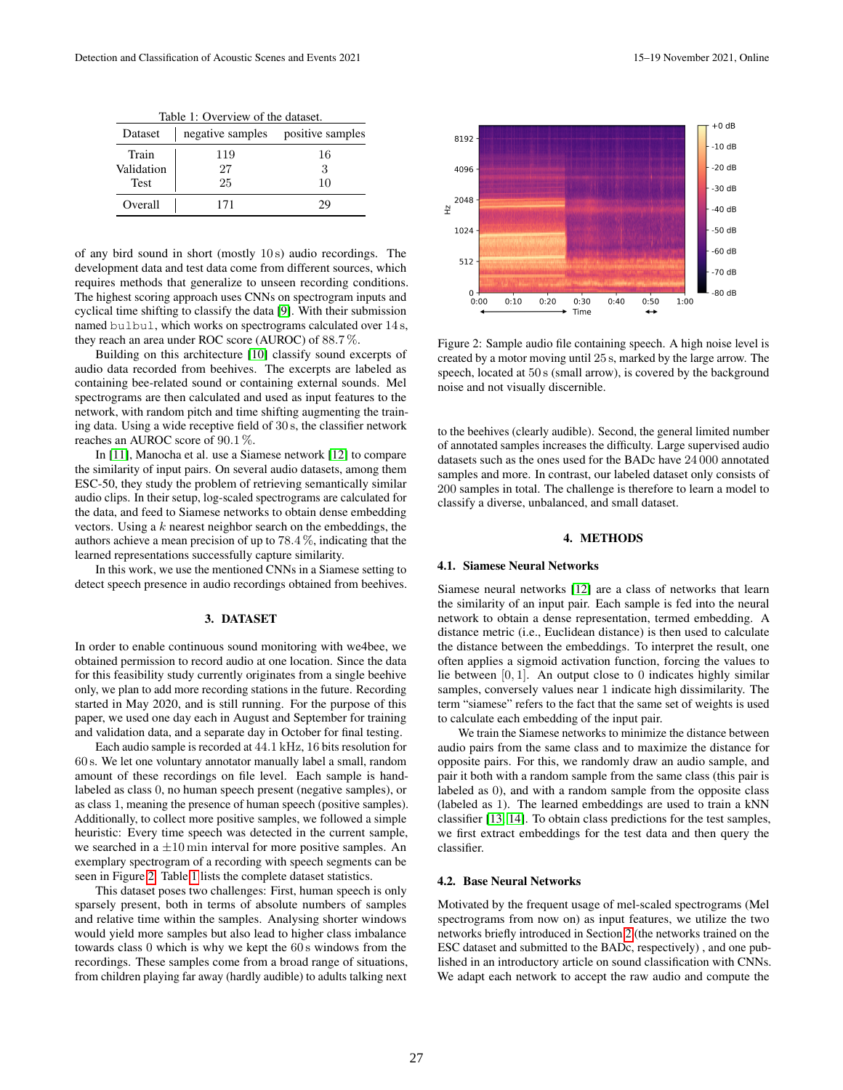| Table 1: Overview of the dataset. |                                   |         |  |  |  |  |  |  |
|-----------------------------------|-----------------------------------|---------|--|--|--|--|--|--|
| Dataset                           | negative samples positive samples |         |  |  |  |  |  |  |
| Train<br>Validation               | 119<br>27                         | 16<br>3 |  |  |  |  |  |  |
| <b>Test</b>                       | 25                                | 10      |  |  |  |  |  |  |
| Overall                           | 171                               |         |  |  |  |  |  |  |

of any bird sound in short (mostly 10 s) audio recordings. The development data and test data come from different sources, which requires methods that generalize to unseen recording conditions. The highest scoring approach uses CNNs on spectrogram inputs and cyclical time shifting to classify the data [9]. With their submission named bulbul, which works on spectrograms calculated over 14 s, they reach an area under ROC score (AUROC) of 88.7 %.

Building on this architecture [10] classify sound excerpts of audio data recorded from beehives. The excerpts are labeled as containing bee-related sound or containing external sounds. Mel spectrograms are then calculated and used as input features to the network, with random pitch and time shifting augmenting the training data. Using a wide receptive field of 30 s, the classifier network reaches an AUROC score of 90.1 %.

In [11], Manocha et al. use a Siamese network [12] to compare the similarity of input pairs. On several audio datasets, among them ESC-50, they study the problem of retrieving semantically similar audio clips. In their setup, log-scaled spectrograms are calculated for the data, and feed to Siamese networks to obtain dense embedding vectors. Using a  $k$  nearest neighbor search on the embeddings, the authors achieve a mean precision of up to 78.4 %, indicating that the learned representations successfully capture similarity.

In this work, we use the mentioned CNNs in a Siamese setting to detect speech presence in audio recordings obtained from beehives.

#### 3. DATASET

In order to enable continuous sound monitoring with we4bee, we obtained permission to record audio at one location. Since the data for this feasibility study currently originates from a single beehive only, we plan to add more recording stations in the future. Recording started in May 2020, and is still running. For the purpose of this paper, we used one day each in August and September for training and validation data, and a separate day in October for final testing.

Each audio sample is recorded at 44.1 kHz, 16 bits resolution for 60 s. We let one voluntary annotator manually label a small, random amount of these recordings on file level. Each sample is handlabeled as class 0, no human speech present (negative samples), or as class 1, meaning the presence of human speech (positive samples). Additionally, to collect more positive samples, we followed a simple heuristic: Every time speech was detected in the current sample, we searched in a  $\pm 10$  min interval for more positive samples. An exemplary spectrogram of a recording with speech segments can be seen in Figure 2. Table 1 lists the complete dataset statistics.

This dataset poses two challenges: First, human speech is only sparsely present, both in terms of absolute numbers of samples and relative time within the samples. Analysing shorter windows would yield more samples but also lead to higher class imbalance towards class 0 which is why we kept the 60 s windows from the recordings. These samples come from a broad range of situations, from children playing far away (hardly audible) to adults talking next



Figure 2: Sample audio file containing speech. A high noise level is created by a motor moving until 25 s, marked by the large arrow. The speech, located at 50 s (small arrow), is covered by the background noise and not visually discernible.

to the beehives (clearly audible). Second, the general limited number of annotated samples increases the difficulty. Large supervised audio datasets such as the ones used for the BADc have 24 000 annotated samples and more. In contrast, our labeled dataset only consists of 200 samples in total. The challenge is therefore to learn a model to classify a diverse, unbalanced, and small dataset.

#### 4. METHODS

#### 4.1. Siamese Neural Networks

Siamese neural networks [12] are a class of networks that learn the similarity of an input pair. Each sample is fed into the neural network to obtain a dense representation, termed embedding. A distance metric (i.e., Euclidean distance) is then used to calculate the distance between the embeddings. To interpret the result, one often applies a sigmoid activation function, forcing the values to lie between  $[0, 1]$ . An output close to 0 indicates highly similar samples, conversely values near 1 indicate high dissimilarity. The term "siamese" refers to the fact that the same set of weights is used to calculate each embedding of the input pair.

We train the Siamese networks to minimize the distance between audio pairs from the same class and to maximize the distance for opposite pairs. For this, we randomly draw an audio sample, and pair it both with a random sample from the same class (this pair is labeled as 0), and with a random sample from the opposite class (labeled as 1). The learned embeddings are used to train a kNN classifier [13, 14]. To obtain class predictions for the test samples, we first extract embeddings for the test data and then query the classifier.

### 4.2. Base Neural Networks

Motivated by the frequent usage of mel-scaled spectrograms (Mel spectrograms from now on) as input features, we utilize the two networks briefly introduced in Section 2 (the networks trained on the ESC dataset and submitted to the BADc, respectively) , and one published in an introductory article on sound classification with CNNs. We adapt each network to accept the raw audio and compute the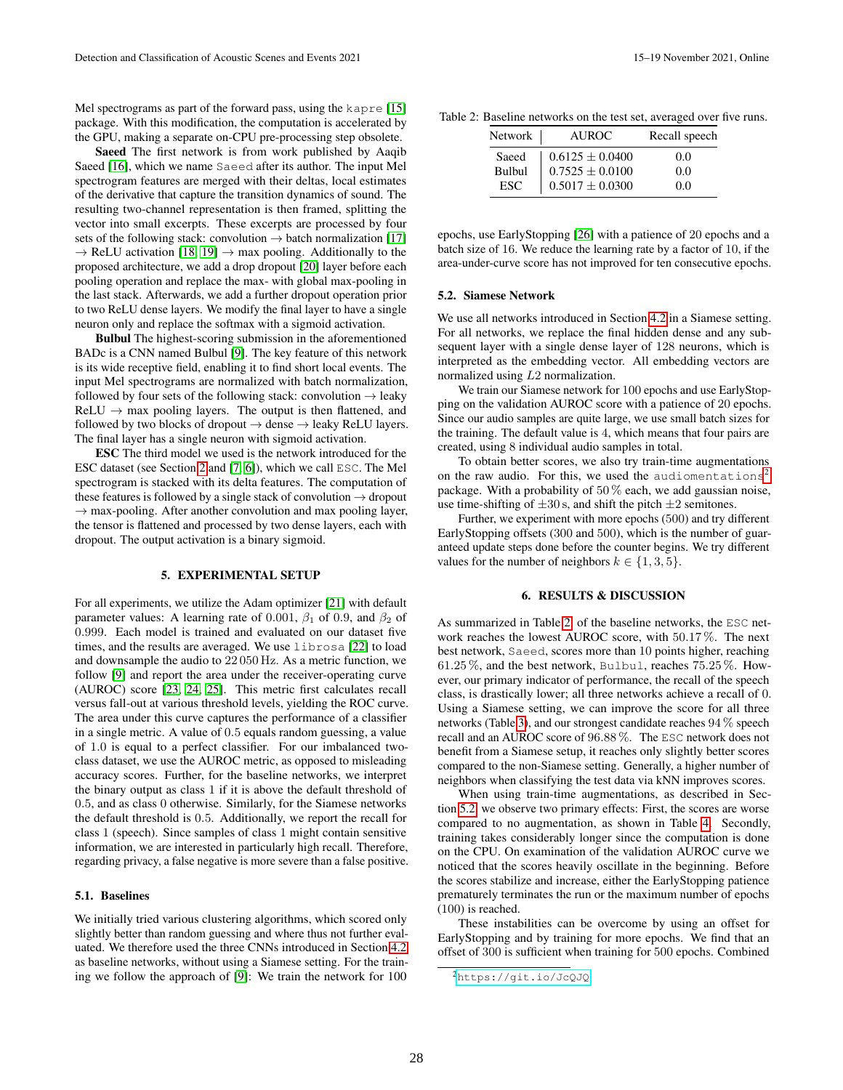Mel spectrograms as part of the forward pass, using the kapre [15] package. With this modification, the computation is accelerated by the GPU, making a separate on-CPU pre-processing step obsolete.

Saeed The first network is from work published by Aaqib Saeed [16], which we name Saeed after its author. The input Mel spectrogram features are merged with their deltas, local estimates of the derivative that capture the transition dynamics of sound. The resulting two-channel representation is then framed, splitting the vector into small excerpts. These excerpts are processed by four sets of the following stack: convolution  $\rightarrow$  batch normalization [17]  $\rightarrow$  ReLU activation [18, 19]  $\rightarrow$  max pooling. Additionally to the proposed architecture, we add a drop dropout [20] layer before each pooling operation and replace the max- with global max-pooling in the last stack. Afterwards, we add a further dropout operation prior to two ReLU dense layers. We modify the final layer to have a single neuron only and replace the softmax with a sigmoid activation.

Bulbul The highest-scoring submission in the aforementioned BADc is a CNN named Bulbul [9]. The key feature of this network is its wide receptive field, enabling it to find short local events. The input Mel spectrograms are normalized with batch normalization, followed by four sets of the following stack: convolution  $\rightarrow$  leaky  $ReLU \rightarrow max$  pooling layers. The output is then flattened, and followed by two blocks of dropout  $\rightarrow$  dense  $\rightarrow$  leaky ReLU layers. The final layer has a single neuron with sigmoid activation.

ESC The third model we used is the network introduced for the ESC dataset (see Section 2 and [7, 6]), which we call ESC. The Mel spectrogram is stacked with its delta features. The computation of these features is followed by a single stack of convolution  $\rightarrow$  dropout  $\rightarrow$  max-pooling. After another convolution and max pooling layer, the tensor is flattened and processed by two dense layers, each with dropout. The output activation is a binary sigmoid.

### 5. EXPERIMENTAL SETUP

For all experiments, we utilize the Adam optimizer [21] with default parameter values: A learning rate of 0.001,  $\beta_1$  of 0.9, and  $\beta_2$  of 0.999. Each model is trained and evaluated on our dataset five times, and the results are averaged. We use librosa [22] to load and downsample the audio to 22 050 Hz. As a metric function, we follow [9] and report the area under the receiver-operating curve (AUROC) score [23, 24, 25]. This metric first calculates recall versus fall-out at various threshold levels, yielding the ROC curve. The area under this curve captures the performance of a classifier in a single metric. A value of 0.5 equals random guessing, a value of 1.0 is equal to a perfect classifier. For our imbalanced twoclass dataset, we use the AUROC metric, as opposed to misleading accuracy scores. Further, for the baseline networks, we interpret the binary output as class 1 if it is above the default threshold of 0.5, and as class 0 otherwise. Similarly, for the Siamese networks the default threshold is 0.5. Additionally, we report the recall for class 1 (speech). Since samples of class 1 might contain sensitive information, we are interested in particularly high recall. Therefore, regarding privacy, a false negative is more severe than a false positive.

#### 5.1. Baselines

We initially tried various clustering algorithms, which scored only slightly better than random guessing and where thus not further evaluated. We therefore used the three CNNs introduced in Section 4.2 as baseline networks, without using a Siamese setting. For the training we follow the approach of [9]: We train the network for 100

|  | Table 2: Baseline networks on the test set, averaged over five runs. |  |  |  |  |
|--|----------------------------------------------------------------------|--|--|--|--|
|  |                                                                      |  |  |  |  |

| Network | <b>AUROC</b>        | Recall speech |  |  |
|---------|---------------------|---------------|--|--|
| Saeed   | $0.6125 \pm 0.0400$ | 0.0           |  |  |
| Bulbul  | $0.7525 \pm 0.0100$ | 0.0           |  |  |
| ESC.    | $0.5017 \pm 0.0300$ | 0.0           |  |  |

epochs, use EarlyStopping [26] with a patience of 20 epochs and a batch size of 16. We reduce the learning rate by a factor of 10, if the area-under-curve score has not improved for ten consecutive epochs.

#### 5.2. Siamese Network

We use all networks introduced in Section 4.2 in a Siamese setting. For all networks, we replace the final hidden dense and any subsequent layer with a single dense layer of 128 neurons, which is interpreted as the embedding vector. All embedding vectors are normalized using L2 normalization.

We train our Siamese network for 100 epochs and use EarlyStopping on the validation AUROC score with a patience of 20 epochs. Since our audio samples are quite large, we use small batch sizes for the training. The default value is 4, which means that four pairs are created, using 8 individual audio samples in total.

To obtain better scores, we also try train-time augmentations on the raw audio. For this, we used the audiomentations<sup>2</sup> package. With a probability of  $50\%$  each, we add gaussian noise, use time-shifting of  $\pm 30$  s, and shift the pitch  $\pm 2$  semitones.

Further, we experiment with more epochs (500) and try different EarlyStopping offsets (300 and 500), which is the number of guaranteed update steps done before the counter begins. We try different values for the number of neighbors  $k \in \{1, 3, 5\}$ .

# 6. RESULTS & DISCUSSION

As summarized in Table 2, of the baseline networks, the ESC network reaches the lowest AUROC score, with 50.17 %. The next best network, Saeed, scores more than 10 points higher, reaching 61.25 %, and the best network, Bulbul, reaches 75.25 %. However, our primary indicator of performance, the recall of the speech class, is drastically lower; all three networks achieve a recall of 0. Using a Siamese setting, we can improve the score for all three networks (Table 3), and our strongest candidate reaches 94 % speech recall and an AUROC score of 96.88 %. The ESC network does not benefit from a Siamese setup, it reaches only slightly better scores compared to the non-Siamese setting. Generally, a higher number of neighbors when classifying the test data via kNN improves scores.

When using train-time augmentations, as described in Section 5.2, we observe two primary effects: First, the scores are worse compared to no augmentation, as shown in Table 4. Secondly, training takes considerably longer since the computation is done on the CPU. On examination of the validation AUROC curve we noticed that the scores heavily oscillate in the beginning. Before the scores stabilize and increase, either the EarlyStopping patience prematurely terminates the run or the maximum number of epochs (100) is reached.

These instabilities can be overcome by using an offset for EarlyStopping and by training for more epochs. We find that an offset of 300 is sufficient when training for 500 epochs. Combined

<sup>2</sup><https://git.io/JcQJQ>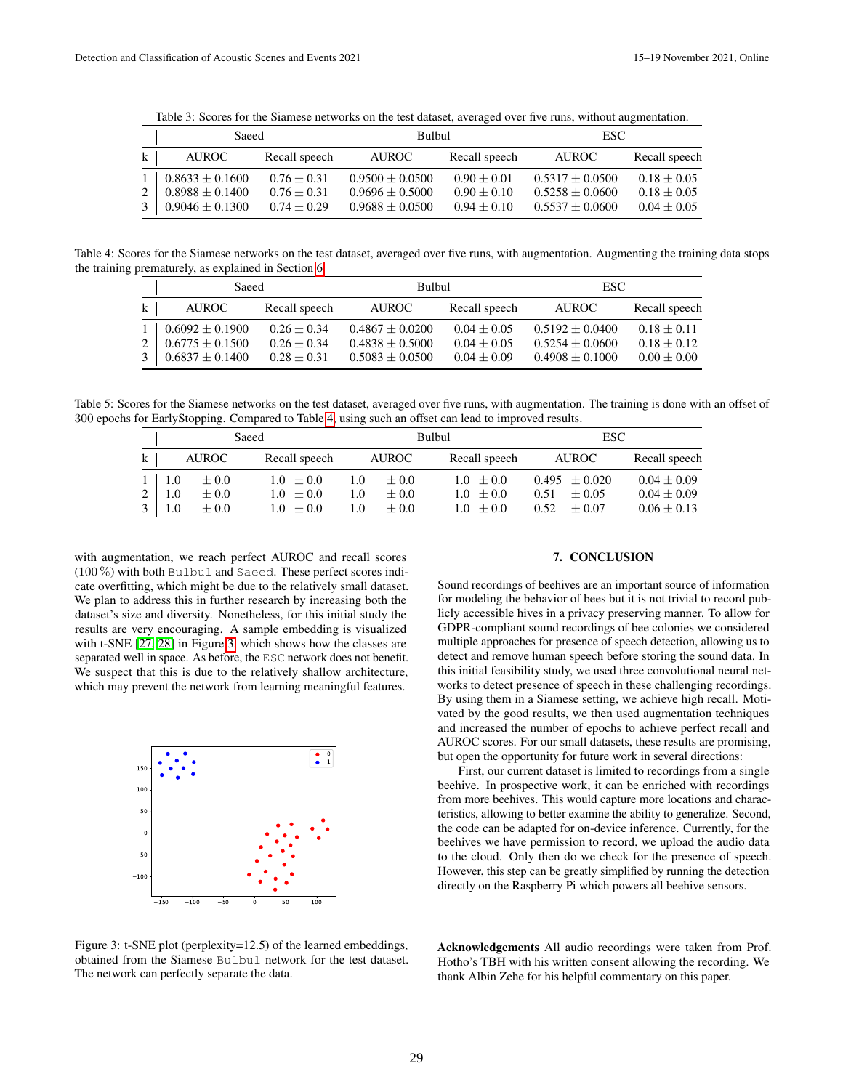Table 3: Scores for the Siamese networks on the test dataset, averaged over five runs, without augmentation.

|              | Saeed                                                                          |                                                      | Bulbul                                                          |                                                 | ESC.                                                        |                                                 |  |
|--------------|--------------------------------------------------------------------------------|------------------------------------------------------|-----------------------------------------------------------------|-------------------------------------------------|-------------------------------------------------------------|-------------------------------------------------|--|
| $\mathbf{k}$ | <b>AUROC</b>                                                                   | Recall speech<br>Recall speech<br>AUROC -<br>AUROC - |                                                                 | Recall speech                                   |                                                             |                                                 |  |
| 2            | $1 \mid 0.8633 \pm 0.1600$<br>$0.8988 \pm 0.1400$<br>$3 \pm 0.9046 \pm 0.1300$ | $0.76 + 0.31$<br>$0.76 + 0.31$<br>$0.74 + 0.29$      | $0.9500 + 0.0500$<br>$0.9696 \pm 0.5000$<br>$0.9688 \pm 0.0500$ | $0.90 + 0.01$<br>$0.90 + 0.10$<br>$0.94 + 0.10$ | $0.5317 + 0.0500$<br>$0.5258 + 0.0600$<br>$0.5537 + 0.0600$ | $0.18 + 0.05$<br>$0.18 + 0.05$<br>$0.04 + 0.05$ |  |

Table 4: Scores for the Siamese networks on the test dataset, averaged over five runs, with augmentation. Augmenting the training data stops the training prematurely, as explained in Section 6.

|              | Saeed                                              |                                | Bulbul                                   |                                | ESC.                                     |                                |  |
|--------------|----------------------------------------------------|--------------------------------|------------------------------------------|--------------------------------|------------------------------------------|--------------------------------|--|
| $\bf k$      | <b>AUROC</b>                                       | Recall speech                  | AUROC -                                  | Recall speech                  | <b>AUROC</b>                             | Recall speech                  |  |
| 2            | $1 \cdot 0.6092 \pm 0.1900$<br>$0.6775 \pm 0.1500$ | $0.26 + 0.34$<br>$0.26 + 0.34$ | $0.4867 + 0.0200$                        | $0.04 + 0.05$                  | $0.5192 + 0.0400$                        | $0.18 + 0.11$                  |  |
| $\mathbf{3}$ | $0.6837 \pm 0.1400$                                | $0.28 \pm 0.31$                | $0.4838 + 0.5000$<br>$0.5083 \pm 0.0500$ | $0.04 + 0.05$<br>$0.04 + 0.09$ | $0.5254 + 0.0600$<br>$0.4908 \pm 0.1000$ | $0.18 + 0.12$<br>$0.00 + 0.00$ |  |

Table 5: Scores for the Siamese networks on the test dataset, averaged over five runs, with augmentation. The training is done with an offset of 300 epochs for EarlyStopping. Compared to Table 4, using such an offset can lead to improved results.

|                     | Saeed                      |                                     |                                                 |                   |                                  | Bulbul                                    | ESC.                                                    |                                                     |  |
|---------------------|----------------------------|-------------------------------------|-------------------------------------------------|-------------------|----------------------------------|-------------------------------------------|---------------------------------------------------------|-----------------------------------------------------|--|
| $\mathbf{k}$        | AUROC                      |                                     | Recall speech                                   |                   | AUROC -                          | Recall speech                             | <b>AUROC</b>                                            | Recall speech                                       |  |
| 2<br>3 <sup>1</sup> | $1 \mid 1.0$<br>1.0<br>1.0 | $\pm 0.0$<br>$\pm 0.0$<br>$\pm 0.0$ | $1.0 \pm 0.0$<br>$1.0 \pm 0.0$<br>$1.0 \pm 0.0$ | 1.0<br>1.0<br>1.0 | $+0.0$<br>$\pm 0.0$<br>$\pm 0.0$ | $1.0 + 0.0$<br>$1.0 + 0.0$<br>$1.0 + 0.0$ | $0.495 \pm 0.020$<br>$+0.05$<br>0.51<br>$+0.07$<br>0.52 | $0.04 \pm 0.09$<br>$0.04 + 0.09$<br>$0.06 \pm 0.13$ |  |

with augmentation, we reach perfect AUROC and recall scores (100 %) with both Bulbul and Saeed. These perfect scores indicate overfitting, which might be due to the relatively small dataset. We plan to address this in further research by increasing both the dataset's size and diversity. Nonetheless, for this initial study the results are very encouraging. A sample embedding is visualized with t-SNE [27, 28] in Figure 3, which shows how the classes are separated well in space. As before, the ESC network does not benefit. We suspect that this is due to the relatively shallow architecture, which may prevent the network from learning meaningful features.



# Figure 3: t-SNE plot (perplexity=12.5) of the learned embeddings, obtained from the Siamese Bulbul network for the test dataset. The network can perfectly separate the data.

### 7. CONCLUSION

Sound recordings of beehives are an important source of information for modeling the behavior of bees but it is not trivial to record publicly accessible hives in a privacy preserving manner. To allow for GDPR-compliant sound recordings of bee colonies we considered multiple approaches for presence of speech detection, allowing us to detect and remove human speech before storing the sound data. In this initial feasibility study, we used three convolutional neural networks to detect presence of speech in these challenging recordings. By using them in a Siamese setting, we achieve high recall. Motivated by the good results, we then used augmentation techniques and increased the number of epochs to achieve perfect recall and AUROC scores. For our small datasets, these results are promising, but open the opportunity for future work in several directions:

First, our current dataset is limited to recordings from a single beehive. In prospective work, it can be enriched with recordings from more beehives. This would capture more locations and characteristics, allowing to better examine the ability to generalize. Second, the code can be adapted for on-device inference. Currently, for the beehives we have permission to record, we upload the audio data to the cloud. Only then do we check for the presence of speech. However, this step can be greatly simplified by running the detection directly on the Raspberry Pi which powers all beehive sensors.

Acknowledgements All audio recordings were taken from Prof. Hotho's TBH with his written consent allowing the recording. We thank Albin Zehe for his helpful commentary on this paper.